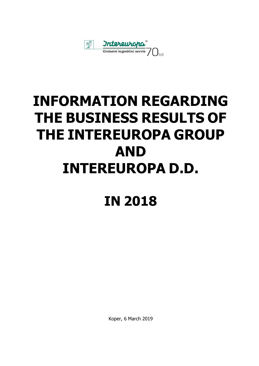

## **INFORMATION REGARDING THE BUSINESS RESULTS OF THE INTEREUROPA GROUP AND INTEREUROPA D.D.**

## **IN 2018**

Koper, 6 March 2019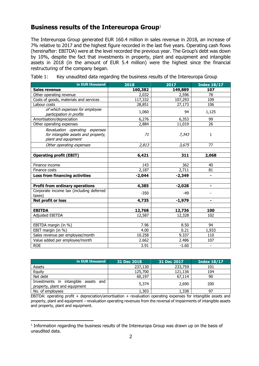## **Business results of the Intereuropa Group**<sup>1</sup>

The Intereuropa Group generated EUR 160.4 million in sales revenue in 2018, an increase of 7% relative to 2017 and the highest figure recorded in the last five years. Operating cash flows (hereinafter: EBITDA) were at the level recorded the previous year. The Group's debt was down by 10%, despite the fact that investments in property, plant and equipment and intangible assets in 2018 (in the amount of EUR 5.4 million) were the highest since the financial restructuring of the company began.

| in EUR thousand                                                                              | 2018     | 2017     | <b>Index 18/17</b>       |
|----------------------------------------------------------------------------------------------|----------|----------|--------------------------|
| <b>Sales revenue</b>                                                                         | 160,382  | 149,889  | 107                      |
| Other operating revenue                                                                      | 2,032    | 2,596    | 78                       |
| Costs of goods, materials and services                                                       | 117,332  | 107,293  | 109                      |
| Labour costs                                                                                 | 28,851   | 27,173   | 106                      |
| of which expenses for employee<br>participation in profits                                   | 1,060    | 94       | 1,125                    |
| Amortisation/depreciation                                                                    | 6,276    | 6,353    | 99                       |
| Other operating expenses                                                                     | 2,884    | 11,019   | 26                       |
| Revaluation operating expenses<br>for intangible assets and property,<br>plant and equipment | 71       | 7,343    | 1                        |
| Other operating expenses                                                                     | 2,813    | 3,675    | 77                       |
|                                                                                              |          |          |                          |
| <b>Operating profit (EBIT)</b>                                                               | 6,421    | 311      | 2,068                    |
|                                                                                              |          |          |                          |
| Finance income                                                                               | 143      | 362      | 40                       |
| Finance costs                                                                                | 2,187    | 2,711    | 81                       |
| <b>Loss from financing activities</b>                                                        | $-2,044$ | $-2,349$ | $\blacksquare$           |
|                                                                                              |          |          |                          |
| <b>Profit from ordinary operations</b>                                                       | 4,385    | $-2,028$ | ٠                        |
| Corporate income tax (including deferred<br>taxes)                                           | $-350$   | $-49$    |                          |
| Net profit or loss                                                                           | 4,735    | $-1,979$ | $\blacksquare$           |
|                                                                                              |          |          |                          |
| <b>EBITDA</b>                                                                                | 12,768   | 12,736   | 100                      |
| <b>Adjusted EBITDA</b>                                                                       | 12,587   | 12,328   | 102                      |
|                                                                                              |          |          |                          |
| EBITDA margin (in %)                                                                         | 7.96     | 8.50     | 94                       |
| EBIT margin (in %)                                                                           | 4.00     | 0.21     | 1,933                    |
| Sales revenue per employee/month                                                             | 10.258   | 9.337    | 110                      |
| Value added per employee/month                                                               | 2.662    | 2.486    | 107                      |
| <b>ROE</b>                                                                                   | 3.91     | $-1.60$  | $\overline{\phantom{a}}$ |

Table 1: Key unaudited data regarding the business results of the Intereuropa Group

| in EUR thousand                                                          | 31 Dec 2018 | 31 Dec 2017 | <b>Index 18/17</b> |
|--------------------------------------------------------------------------|-------------|-------------|--------------------|
| Assets                                                                   | 237,130     | 233,759     | 101                |
| Equity                                                                   | 125,700     | 121,136     | 104                |
| Net debt                                                                 | 60,197      | 67,114      | 90                 |
| intangible assets and<br>Investments in<br>property, plant and equipment | 5,374       | 2,690       | 200                |
| No. of employees                                                         | 1,303       | 1,338       | 97                 |

EBITDA: operating profit + depreciation/amortisation + revaluation operating expenses for intangible assets and property, plant and equipment – revaluation operating revenues from the reversal of impairments of intangible assets and property, plant and equipment.

j

<sup>&</sup>lt;sup>1</sup> Information regarding the business results of the Intereuropa Group was drawn up on the basis of unaudited data.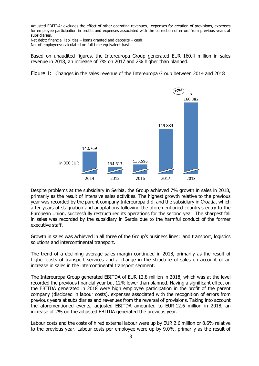Adjusted EBITDA: excludes the effect of other operating revenues, expenses for creation of provisions, expenses for employee participation in profits and expenses associated with the correction of errors from previous years at subsidiaries.

Net debt: financial liabilities – loans granted and deposits – cash No. of employees: calculated on full-time equivalent basis

Based on unaudited figures, the Intereuropa Group generated EUR 160.4 million in sales revenue in 2018, an increase of 7% on 2017 and 2% higher than planned.

Figure 1: Changes in the sales revenue of the Intereuropa Group between 2014 and 2018



Despite problems at the subsidiary in Serbia, the Group achieved 7% growth in sales in 2018, primarily as the result of intensive sales activities. The highest growth relative to the previous year was recorded by the parent company Intereuropa d.d. and the subsidiary in Croatia, which after years of stagnation and adaptations following the aforementioned country's entry to the European Union, successfully restructured its operations for the second year. The sharpest fall in sales was recorded by the subsidiary in Serbia due to the harmful conduct of the former executive staff.

Growth in sales was achieved in all three of the Group's business lines: land transport, logistics solutions and intercontinental transport.

The trend of a declining average sales margin continued in 2018, primarily as the result of higher costs of transport services and a change in the structure of sales on account of an increase in sales in the intercontinental transport segment.

The Intereuropa Group generated EBITDA of EUR 12.8 million in 2018, which was at the level recorded the previous financial year but 12% lower than planned. Having a significant effect on the EBITDA generated in 2018 were high employee participation in the profit of the parent company (disclosed in labour costs), expenses associated with the recognition of errors from previous years at subsidiaries and revenues from the reversal of provisions. Taking into account the aforementioned events, adjusted EBITDA amounted to EUR 12.6 million in 2018, an increase of 2% on the adjusted EBITDA generated the previous year.

Labour costs and the costs of hired external labour were up by EUR 2.6 million or 8.6% relative to the previous year. Labour costs per employee were up by 9.0%, primarily as the result of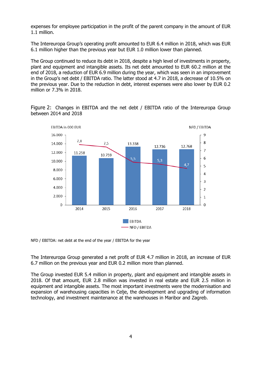expenses for employee participation in the profit of the parent company in the amount of EUR 1.1 million.

The Intereuropa Group's operating profit amounted to EUR 6.4 million in 2018, which was EUR 6.1 million higher than the previous year but EUR 1.0 million lower than planned.

The Group continued to reduce its debt in 2018, despite a high level of investments in property, plant and equipment and intangible assets. Its net debt amounted to EUR 60.2 million at the end of 2018, a reduction of EUR 6.9 million during the year, which was seen in an improvement in the Group's net debt / EBITDA ratio. The latter stood at 4.7 in 2018, a decrease of 10.5% on the previous year. Due to the reduction in debt, interest expenses were also lower by EUR 0.2 million or 7.3% in 2018.

Figure 2: Changes in EBITDA and the net debt / EBITDA ratio of the Intereuropa Group between 2014 and 2018



NFD / EBITDA: net debt at the end of the year / EBITDA for the year

The Intereuropa Group generated a net profit of EUR 4.7 million in 2018, an increase of EUR 6.7 million on the previous year and EUR 0.2 million more than planned.

The Group invested EUR 5.4 million in property, plant and equipment and intangible assets in 2018. Of that amount, EUR 2.8 million was invested in real estate and EUR 2.5 million in equipment and intangible assets. The most important investments were the modernisation and expansion of warehousing capacities in Celje, the development and upgrading of information technology, and investment maintenance at the warehouses in Maribor and Zagreb.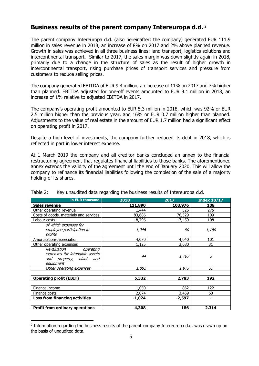## **Business results of the parent company Intereuropa d.d.** <sup>2</sup>

The parent company Intereuropa d.d. (also hereinafter: the company) generated EUR 111.9 million in sales revenue in 2018, an increase of 8% on 2017 and 2% above planned revenue. Growth in sales was achieved in all three business lines: land transport, logistics solutions and intercontinental transport. Similar to 2017, the sales margin was down slightly again in 2018, primarily due to a change in the structure of sales as the result of higher growth in intercontinental transport, rising purchase prices of transport services and pressure from customers to reduce selling prices.

The company generated EBITDA of EUR 9.4 million, an increase of 11% on 2017 and 7% higher than planned. EBITDA adjusted for one-off events amounted to EUR 9.1 million in 2018, an increase of 1% relative to adjusted EBITDA in 2017.

The company's operating profit amounted to EUR 5.3 million in 2018, which was 92% or EUR 2.5 million higher than the previous year, and 16% or EUR 0.7 million higher than planned. Adjustments to the value of real estate in the amount of EUR 1.7 million had a significant effect on operating profit in 2017.

Despite a high level of investments, the company further reduced its debt in 2018, which is reflected in part in lower interest expense.

At 1 March 2019 the company and all creditor banks concluded an annex to the financial restructuring agreement that regulates financial liabilities to those banks. The aforementioned annex extends the validity of the agreement until the end of January 2020. This will allow the company to refinance its financial liabilities following the completion of the sale of a majority holding of its shares.

| in EUR thousand                                                                                    | 2018         | 2017     | <b>Index 18/17</b> |
|----------------------------------------------------------------------------------------------------|--------------|----------|--------------------|
| <b>Sales revenue</b>                                                                               | 111,890      | 103,976  | 108                |
| Other operating revenue                                                                            | 1,444        | 526      | 275                |
| Costs of goods, materials and services                                                             | 83,686       | 76,529   | 109                |
| Labour costs                                                                                       | 18,796       | 17,459   | 108                |
| of which expenses for<br>employee participation in<br>profits                                      | <i>1,046</i> | 90       | <i>1,160</i>       |
| Amortisation/depreciation                                                                          | 4,070        | 4,040    | 101                |
| Other operating expenses                                                                           | 1,125        | 3,680    | 31                 |
| Revaluation<br>operating<br>expenses for intangible assets<br>and property, plant and<br>equipment | 44           | 1,707    | 3                  |
| Other operating expenses                                                                           | <i>1,082</i> | 1,973    | 55                 |
| <b>Operating profit (EBIT)</b>                                                                     | 5,332        | 2,783    | 192                |
| Finance income                                                                                     | 1,050        | 862      | 122                |
| Finance costs                                                                                      | 2,074        | 3,459    | 60                 |
| <b>Loss from financing activities</b>                                                              | $-1,024$     | $-2,597$ | -                  |
| <b>Profit from ordinary operations</b>                                                             | 4,308        | 186      | 2,314              |

| Table 2: |  | Key unaudited data regarding the business results of Intereuropa d.d. |
|----------|--|-----------------------------------------------------------------------|
|          |  |                                                                       |

j

<sup>&</sup>lt;sup>2</sup> Information regarding the business results of the parent company Intereuropa d.d. was drawn up on the basis of unaudited data.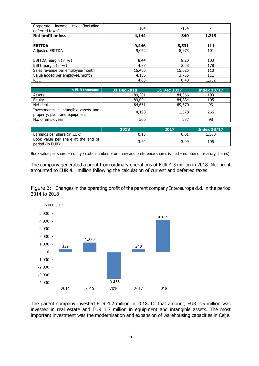| (including<br>Corporate income<br>tax<br>deferred taxes) | 164    | $-154$ |       |
|----------------------------------------------------------|--------|--------|-------|
| Net profit or loss                                       | 4,144  | 340    | 1,219 |
|                                                          |        |        |       |
| <b>EBITDA</b>                                            | 9,446  | 8,531  | 111   |
| <b>Adjusted EBITDA</b>                                   | 9,062  | 8,973  | 101   |
|                                                          |        |        |       |
| EBITDA margin (in %)                                     | 8.44   | 8.20   | 103   |
| EBIT margin (in %)                                       | 4.77   | 2.68   | 178   |
| Sales revenue per employee/month                         | 16.466 | 15.025 | 110   |
| Value added per employee/month                           | 4.156  | 3.755  | 111   |
| <b>ROE</b>                                               | 4.88   | 0.40   | 1,232 |

| in EUR thousand                                                       | 31 Dec 2018 | 31 Dec 2017 | <b>Index 18/17</b> |
|-----------------------------------------------------------------------|-------------|-------------|--------------------|
| Assets                                                                | 189,201     | 184,366     | 103                |
| Equity                                                                | 89,094      | 84,884      | 105                |
| Net debt                                                              | 64,631      | 69,670      | 93                 |
| Investments in intangible assets and<br>property, plant and equipment | 4,198       | 1,578       | 266                |
| No. of employees                                                      | 566         | 577         | 98                 |

|                                                       | 2018 | 2017 | <b>Index 18/17</b> |
|-------------------------------------------------------|------|------|--------------------|
| Earnings per share (in EUR)                           | 0.15 | 0.01 | .500.              |
| Book value per share at the end of<br>period (in EUR) | 3.24 | 3.09 | 105                |

Book value per share = equity / (total number of ordinary and preference shares issued – number of treasury shares).

The company generated a profit from ordinary operations of EUR 4.3 million in 2018. Net profit amounted to EUR 4.1 million following the calculation of current and deferred taxes.





The parent company invested EUR 4.2 million in 2018. Of that amount, EUR 2.5 million was invested in real estate and EUR 1.7 million in equipment and intangible assets. The most important investment was the modernisation and expansion of warehousing capacities in Celje.